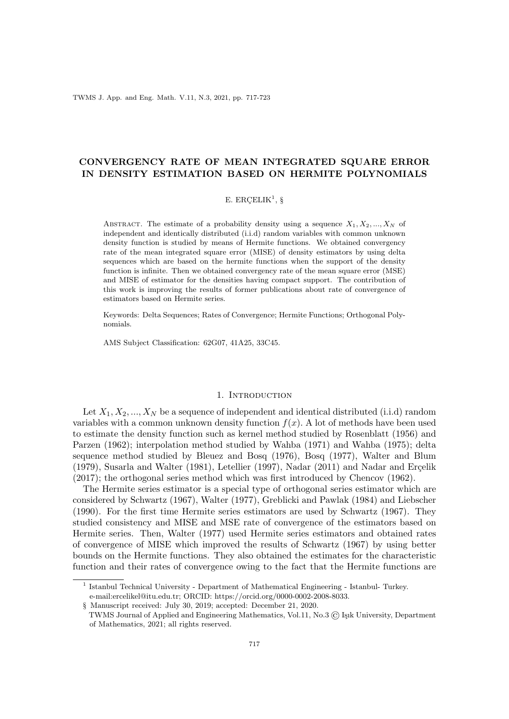TWMS J. App. and Eng. Math. V.11, N.3, 2021, pp. 717-723

# CONVERGENCY RATE OF MEAN INTEGRATED SQUARE ERROR IN DENSITY ESTIMATION BASED ON HERMITE POLYNOMIALS

## E. ERÇELIK<sup>1</sup>, §

ABSTRACT. The estimate of a probability density using a sequence  $X_1, X_2, ..., X_N$  of independent and identically distributed (i.i.d) random variables with common unknown density function is studied by means of Hermite functions. We obtained convergency rate of the mean integrated square error (MISE) of density estimators by using delta sequences which are based on the hermite functions when the support of the density function is infinite. Then we obtained convergency rate of the mean square error (MSE) and MISE of estimator for the densities having compact support. The contribution of this work is improving the results of former publications about rate of convergence of estimators based on Hermite series.

Keywords: Delta Sequences; Rates of Convergence; Hermite Functions; Orthogonal Polynomials.

AMS Subject Classification: 62G07, 41A25, 33C45.

#### 1. INTRODUCTION

Let  $X_1, X_2, ..., X_N$  be a sequence of independent and identical distributed (i.i.d) random variables with a common unknown density function  $f(x)$ . A lot of methods have been used to estimate the density function such as kernel method studied by Rosenblatt (1956) and Parzen (1962); interpolation method studied by Wahba (1971) and Wahba (1975); delta sequence method studied by Bleuez and Bosq (1976), Bosq (1977), Walter and Blum  $(1979)$ , Susarla and Walter  $(1981)$ , Letellier  $(1997)$ , Nadar  $(2011)$  and Nadar and Erçelik (2017); the orthogonal series method which was first introduced by Chencov (1962).

The Hermite series estimator is a special type of orthogonal series estimator which are considered by Schwartz (1967), Walter (1977), Greblicki and Pawlak (1984) and Liebscher (1990). For the first time Hermite series estimators are used by Schwartz (1967). They studied consistency and MISE and MSE rate of convergence of the estimators based on Hermite series. Then, Walter (1977) used Hermite series estimators and obtained rates of convergence of MISE which improved the results of Schwartz (1967) by using better bounds on the Hermite functions. They also obtained the estimates for the characteristic function and their rates of convergence owing to the fact that the Hermite functions are

<sup>&</sup>lt;sup>1</sup> Istanbul Technical University - Department of Mathematical Engineering - Istanbul- Turkey.

e-mail:ercelikel@itu.edu.tr; ORCID: https://orcid.org/0000-0002-2008-8033.

<sup>§</sup> Manuscript received: July 30, 2019; accepted: December 21, 2020.

TWMS Journal of Applied and Engineering Mathematics, Vol.11, No.3 (C) Isik University, Department of Mathematics, 2021; all rights reserved.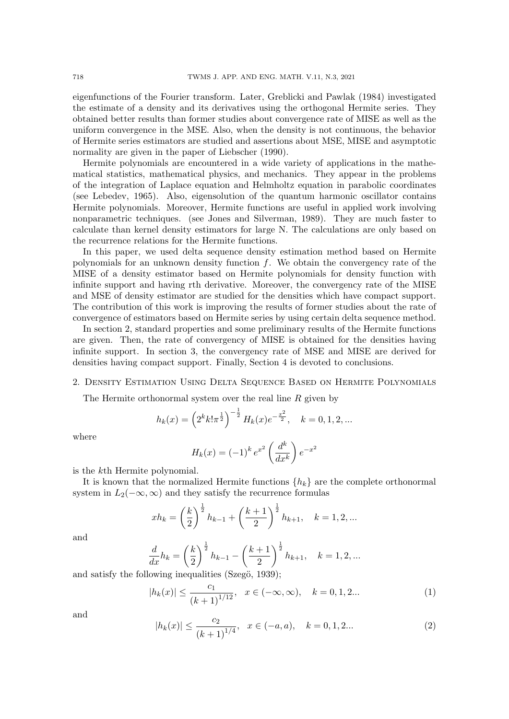eigenfunctions of the Fourier transform. Later, Greblicki and Pawlak (1984) investigated the estimate of a density and its derivatives using the orthogonal Hermite series. They obtained better results than former studies about convergence rate of MISE as well as the uniform convergence in the MSE. Also, when the density is not continuous, the behavior of Hermite series estimators are studied and assertions about MSE, MISE and asymptotic normality are given in the paper of Liebscher (1990).

Hermite polynomials are encountered in a wide variety of applications in the mathematical statistics, mathematical physics, and mechanics. They appear in the problems of the integration of Laplace equation and Helmholtz equation in parabolic coordinates (see Lebedev, 1965). Also, eigensolution of the quantum harmonic oscillator contains Hermite polynomials. Moreover, Hermite functions are useful in applied work involving nonparametric techniques. (see Jones and Silverman, 1989). They are much faster to calculate than kernel density estimators for large N. The calculations are only based on the recurrence relations for the Hermite functions.

In this paper, we used delta sequence density estimation method based on Hermite polynomials for an unknown density function  $f$ . We obtain the convergency rate of the MISE of a density estimator based on Hermite polynomials for density function with infinite support and having rth derivative. Moreover, the convergency rate of the MISE and MSE of density estimator are studied for the densities which have compact support. The contribution of this work is improving the results of former studies about the rate of convergence of estimators based on Hermite series by using certain delta sequence method.

In section 2, standard properties and some preliminary results of the Hermite functions are given. Then, the rate of convergency of MISE is obtained for the densities having infinite support. In section 3, the convergency rate of MSE and MISE are derived for densities having compact support. Finally, Section 4 is devoted to conclusions.

#### 2. Density Estimation Using Delta Sequence Based on Hermite Polynomials

The Hermite orthonormal system over the real line  $R$  given by

$$
h_k(x) = \left(2^k k! \pi^{\frac{1}{2}}\right)^{-\frac{1}{2}} H_k(x) e^{-\frac{x^2}{2}}, \quad k = 0, 1, 2, \dots
$$

where

$$
H_k(x) = (-1)^k e^{x^2} \left(\frac{d^k}{dx^k}\right) e^{-x^2}
$$

is the kth Hermite polynomial.

It is known that the normalized Hermite functions  $\{h_k\}$  are the complete orthonormal system in  $L_2(-\infty, \infty)$  and they satisfy the recurrence formulas

$$
xh_k = \left(\frac{k}{2}\right)^{\frac{1}{2}}h_{k-1} + \left(\frac{k+1}{2}\right)^{\frac{1}{2}}h_{k+1}, \quad k = 1, 2, \dots
$$

and

$$
\frac{d}{dx}h_k = \left(\frac{k}{2}\right)^{\frac{1}{2}}h_{k-1} - \left(\frac{k+1}{2}\right)^{\frac{1}{2}}h_{k+1}, \quad k = 1, 2, \dots
$$

and satisfy the following inequalities (Szegö,  $1939$ );

$$
|h_k(x)| \le \frac{c_1}{(k+1)^{1/12}}, \quad x \in (-\infty, \infty), \quad k = 0, 1, 2... \tag{1}
$$

and

$$
|h_k(x)| \le \frac{c_2}{(k+1)^{1/4}}, \quad x \in (-a, a), \quad k = 0, 1, 2... \tag{2}
$$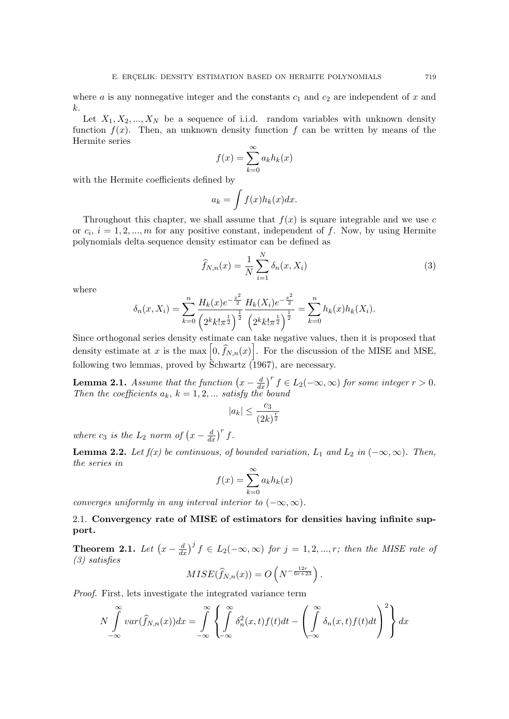where  $a$  is any nonnegative integer and the constants  $c_1$  and  $c_2$  are independent of  $x$  and k.

Let  $X_1, X_2, ..., X_N$  be a sequence of i.i.d. random variables with unknown density function  $f(x)$ . Then, an unknown density function f can be written by means of the Hermite series

$$
f(x) = \sum_{k=0}^{\infty} a_k h_k(x)
$$

with the Hermite coefficients defined by

$$
a_k = \int f(x)h_k(x)dx.
$$

Throughout this chapter, we shall assume that  $f(x)$  is square integrable and we use c or  $c_i$ ,  $i = 1, 2, ..., m$  for any positive constant, independent of f. Now, by using Hermite polynomials delta sequence density estimator can be defined as

$$
\hat{f}_{N,n}(x) = \frac{1}{N} \sum_{i=1}^{N} \delta_n(x, X_i)
$$
\n(3)

where

$$
\delta_n(x, X_i) = \sum_{k=0}^n \frac{H_k(x)e^{-\frac{x^2}{2}}}{\left(2^k k! \pi^{\frac{1}{2}}\right)^{\frac{1}{2}}} \frac{H_k(X_i)e^{-\frac{x^2}{2}}}{\left(2^k k! \pi^{\frac{1}{2}}\right)^{\frac{1}{2}}} = \sum_{k=0}^n h_k(x)h_k(X_i).
$$

Since orthogonal series density estimate can take negative values, then it is proposed that density estimate at x is the max  $\left[0, \hat{f}_{N,n}(x)\right]$ . For the discussion of the MISE and MSE, following two lemmas, proved by Schwartz  $(1967)$ , are necessary.

**Lemma 2.1.** Assume that the function  $(x - \frac{d}{dx})^r f \in L_2(-\infty, \infty)$  for some integer  $r > 0$ . Then the coefficients  $a_k$ ,  $k = 1, 2, ...$  satisfy the bound

$$
|a_k| \le \frac{c_3}{(2k)^{\frac{r}{2}}}
$$

where  $c_3$  is the  $L_2$  norm of  $\left(x - \frac{d}{dx}\right)^r f$ .

**Lemma 2.2.** Let  $f(x)$  be continuous, of bounded variation,  $L_1$  and  $L_2$  in  $(-\infty, \infty)$ . Then, the series in

$$
f(x) = \sum_{k=0}^{\infty} a_k h_k(x)
$$

converges uniformly in any interval interior to  $(-\infty, \infty)$ .

2.1. Convergency rate of MISE of estimators for densities having infinite support.

**Theorem 2.1.** Let  $\left(x - \frac{d}{dx}\right)^j f \in L_2(-\infty, \infty)$  for  $j = 1, 2, ..., r$ ; then the MISE rate of (3) satisfies

$$
MISE(\widehat{f}_{N,n}(x)) = O\left(N^{-\frac{12r}{6r+23}}\right).
$$

Proof. First, lets investigate the integrated variance term

$$
N\int_{-\infty}^{\infty}var(\widehat{f}_{N,n}(x))dx = \int_{-\infty}^{\infty}\left\{\int_{-\infty}^{\infty}\delta_n^2(x,t)f(t)dt - \left(\int_{-\infty}^{\infty}\delta_n(x,t)f(t)dt\right)^2\right\}dx
$$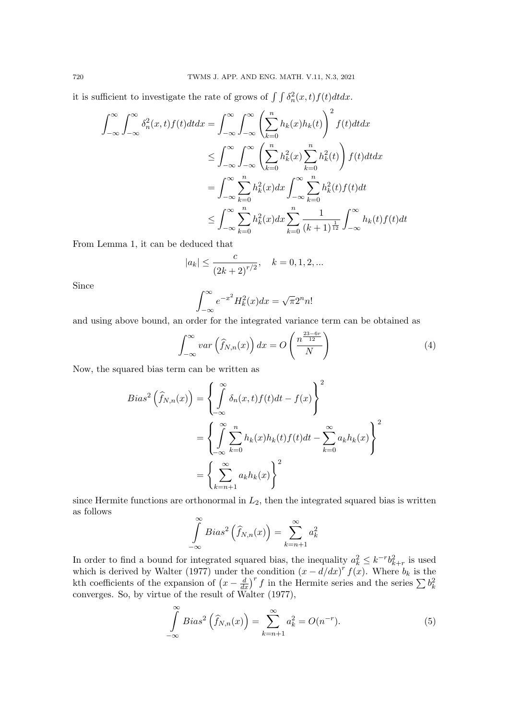it is sufficient to investigate the rate of grows of  $\int \int \delta_n^2(x,t)f(t)dtdx$ .

$$
\int_{-\infty}^{\infty} \int_{-\infty}^{\infty} \delta_n^2(x, t) f(t) dt dx = \int_{-\infty}^{\infty} \int_{-\infty}^{\infty} \left( \sum_{k=0}^n h_k(x) h_k(t) \right)^2 f(t) dt dx
$$
  
\n
$$
\leq \int_{-\infty}^{\infty} \int_{-\infty}^{\infty} \left( \sum_{k=0}^n h_k^2(x) \sum_{k=0}^n h_k^2(t) \right) f(t) dt dx
$$
  
\n
$$
= \int_{-\infty}^{\infty} \sum_{k=0}^n h_k^2(x) dx \int_{-\infty}^{\infty} \sum_{k=0}^n h_k^2(t) f(t) dt
$$
  
\n
$$
\leq \int_{-\infty}^{\infty} \sum_{k=0}^n h_k^2(x) dx \sum_{k=0}^n \frac{1}{(k+1)^{\frac{1}{12}}} \int_{-\infty}^{\infty} h_k(t) f(t) dt
$$

From Lemma 1, it can be deduced that

$$
|a_k| \le \frac{c}{(2k+2)^{r/2}}, \quad k = 0, 1, 2, ...
$$

Since

$$
\int_{-\infty}^{\infty} e^{-x^2} H_k^2(x) dx = \sqrt{\pi} 2^n n!
$$

and using above bound, an order for the integrated variance term can be obtained as

$$
\int_{-\infty}^{\infty} var\left(\hat{f}_{N,n}(x)\right) dx = O\left(\frac{n^{\frac{23-6r}{12}}}{N}\right)
$$
\n(4)

Now, the squared bias term can be written as

$$
Bias^2\left(\hat{f}_{N,n}(x)\right) = \left\{\int_{-\infty}^{\infty} \delta_n(x,t)f(t)dt - f(x)\right\}^2
$$

$$
= \left\{\int_{-\infty}^{\infty} \sum_{k=0}^n h_k(x)h_k(t)f(t)dt - \sum_{k=0}^{\infty} a_k h_k(x)\right\}^2
$$

$$
= \left\{\sum_{k=n+1}^{\infty} a_k h_k(x)\right\}^2
$$

since Hermite functions are orthonormal in  $L_2$ , then the integrated squared bias is written as follows

$$
\int_{-\infty}^{\infty} Bias^2\left(\widehat{f}_{N,n}(x)\right) = \sum_{k=n+1}^{\infty} a_k^2
$$

In order to find a bound for integrated squared bias, the inequality  $a_k^2 \leq k^{-r} b_{k+r}^2$  is used which is derived by Walter (1977) under the condition  $(x - d/dx)^{r} f(x)$ . Where  $b_{k}$  is the kth coefficients of the expansion of  $\left(x - \frac{d}{dx}\right)^r f$  in the Hermite series and the series  $\sum b_k^2$  converges. So, by virtue of the result of Walter (1977),

$$
\int_{-\infty}^{\infty} Bias^2\left(\widehat{f}_{N,n}(x)\right) = \sum_{k=n+1}^{\infty} a_k^2 = O(n^{-r}).\tag{5}
$$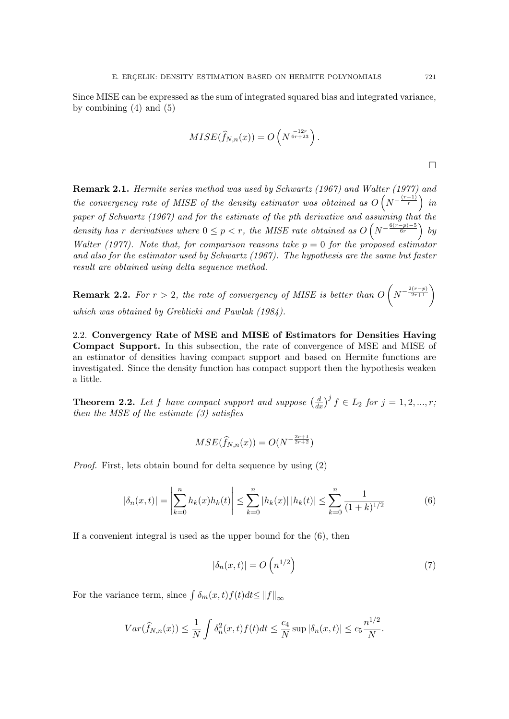Since MISE can be expressed as the sum of integrated squared bias and integrated variance, by combining  $(4)$  and  $(5)$ 

$$
MISE(\widehat{f}_{N,n}(x)) = O\left(N^{\frac{-12r}{6r+23}}\right).
$$

 $\Box$ 

Remark 2.1. Hermite series method was used by Schwartz (1967) and Walter (1977) and the convergency rate of MISE of the density estimator was obtained as  $O(N^{-\frac{(r-1)}{r}})$  in paper of Schwartz (1967) and for the estimate of the pth derivative and assuming that the density has r derivatives where  $0 \leq p < r$ , the MISE rate obtained as  $O(N^{-\frac{6(r-p)-5}{6r}})$  by Walter (1977). Note that, for comparison reasons take  $p = 0$  for the proposed estimator and also for the estimator used by Schwartz (1967). The hypothesis are the same but faster result are obtained using delta sequence method.

**Remark 2.2.** For  $r > 2$ , the rate of convergency of MISE is better than  $O(N^{-\frac{2(r-p)}{2r+1}})$ which was obtained by Greblicki and Pawlak (1984).

2.2. Convergency Rate of MSE and MISE of Estimators for Densities Having Compact Support. In this subsection, the rate of convergence of MSE and MISE of an estimator of densities having compact support and based on Hermite functions are investigated. Since the density function has compact support then the hypothesis weaken a little.

**Theorem 2.2.** Let f have compact support and suppose  $\left(\frac{d}{dx}\right)^j f \in L_2$  for  $j = 1, 2, ..., r$ ; then the MSE of the estimate (3) satisfies

$$
MSE(\widehat{f}_{N,n}(x)) = O(N^{-\frac{2r+1}{2r+2}})
$$

Proof. First, lets obtain bound for delta sequence by using (2)

$$
|\delta_n(x,t)| = \left| \sum_{k=0}^n h_k(x) h_k(t) \right| \le \sum_{k=0}^n |h_k(x)| |h_k(t)| \le \sum_{k=0}^n \frac{1}{(1+k)^{1/2}} \tag{6}
$$

If a convenient integral is used as the upper bound for the (6), then

$$
|\delta_n(x,t)| = O\left(n^{1/2}\right) \tag{7}
$$

For the variance term, since  $\int \delta_m(x, t) f(t) dt \le ||f||_{\infty}$ 

$$
Var(\widehat{f}_{N,n}(x)) \le \frac{1}{N} \int \delta_n^2(x,t) f(t) dt \le \frac{c_4}{N} \sup |\delta_n(x,t)| \le c_5 \frac{n^{1/2}}{N}.
$$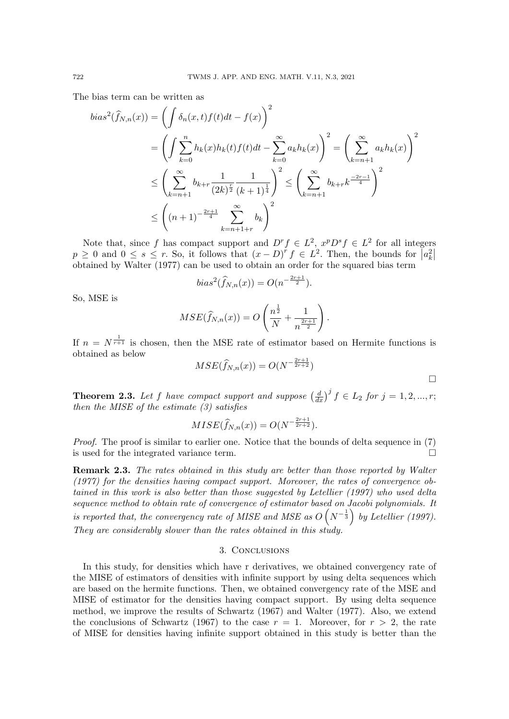The bias term can be written as

$$
bias^{2}(\widehat{f}_{N,n}(x)) = \left(\int \delta_{n}(x,t)f(t)dt - f(x)\right)^{2}
$$
  
= 
$$
\left(\int \sum_{k=0}^{n} h_{k}(x)h_{k}(t)f(t)dt - \sum_{k=0}^{\infty} a_{k}h_{k}(x)\right)^{2} = \left(\sum_{k=n+1}^{\infty} a_{k}h_{k}(x)\right)^{2}
$$
  

$$
\leq \left(\sum_{k=n+1}^{\infty} b_{k+r} \frac{1}{(2k)^{\frac{r}{2}}}\frac{1}{(k+1)^{\frac{1}{4}}}\right)^{2} \leq \left(\sum_{k=n+1}^{\infty} b_{k+r}k^{\frac{-2r-1}{4}}\right)^{2}
$$
  

$$
\leq \left((n+1)^{-\frac{2r+1}{4}}\sum_{k=n+1+r}^{\infty} b_{k}\right)^{2}
$$

Note that, since f has compact support and  $D^r f \in L^2$ ,  $x^p D^s f \in L^2$  for all integers  $p \geq 0$  and  $0 \leq s \leq r$ . So, it follows that  $(x - D)^r f \in L^2$ . Then, the bounds for  $a_k^2$ obtained by Walter (1977) can be used to obtain an order for the squared bias term

$$
bias^{2}(\widehat{f}_{N,n}(x)) = O(n^{-\frac{2r+1}{2}}).
$$

So, MSE is

$$
MSE(\widehat{f}_{N,n}(x)) = O\left(\frac{n^{\frac{1}{2}}}{N} + \frac{1}{n^{\frac{2r+1}{2}}}\right).
$$

If  $n = N^{\frac{1}{r+1}}$  is chosen, then the MSE rate of estimator based on Hermite functions is obtained as below  $2r+1$ 

$$
MSE(\widehat{f}_{N,n}(x)) = O(N^{-\frac{2r+1}{2r+2}})
$$

**Theorem 2.3.** Let f have compact support and suppose  $\left(\frac{d}{dx}\right)^j f \in L_2$  for  $j = 1, 2, ..., r$ ; then the MISE of the estimate  $(3)$  satisfies

$$
MISE(\widehat{f}_{N,n}(x)) = O(N^{-\frac{2r+1}{2r+2}}).
$$

Proof. The proof is similar to earlier one. Notice that the bounds of delta sequence in (7) is used for the integrated variance term.

Remark 2.3. The rates obtained in this study are better than those reported by Walter (1977) for the densities having compact support. Moreover, the rates of convergence obtained in this work is also better than those suggested by Letellier (1997) who used delta sequence method to obtain rate of convergence of estimator based on Jacobi polynomials. It is reported that, the convergency rate of MISE and MSE as  $O(N^{-\frac{1}{3}})$  by Letellier (1997). They are considerably slower than the rates obtained in this study.

#### 3. Conclusions

In this study, for densities which have r derivatives, we obtained convergency rate of the MISE of estimators of densities with infinite support by using delta sequences which are based on the hermite functions. Then, we obtained convergency rate of the MSE and MISE of estimator for the densities having compact support. By using delta sequence method, we improve the results of Schwartz (1967) and Walter (1977). Also, we extend the conclusions of Schwartz (1967) to the case  $r = 1$ . Moreover, for  $r > 2$ , the rate of MISE for densities having infinite support obtained in this study is better than the